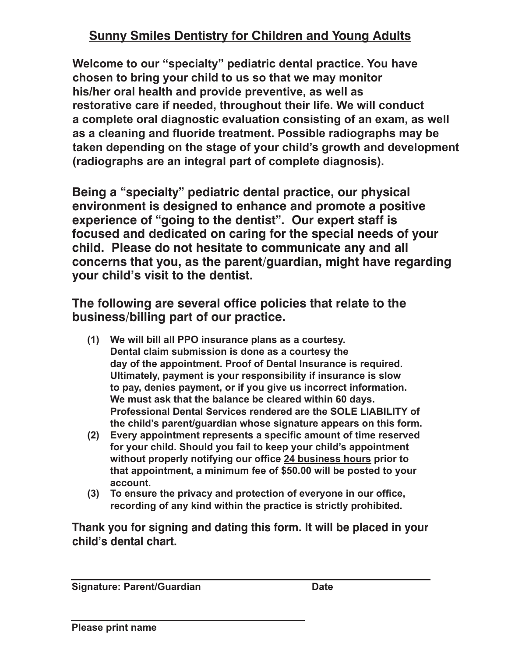## **Sunny Smiles Dentistry for Children and Young Adults his/her oral health and provide preventive, as well as Sunny Smiles Dentistry for Children and Young Adults <u>Sunny Smiles Dentistry for Children and Young Adults</u> Sunny Smiles Dentistry for Children and Young Adults Sunny Smiles Dentistry for Children and Young Adults Sunny Smiles Dentistry for Children and Young Adults**

**Welcome to our "specialty" pediatric dental practice. You have come to our "specialty" pediatric dental practice. You ha** chosen to bring your child to us so that we may monitor **r r f c c i c c c i c i c i c i c i c i c i c i c i c i c i c i c i c i c i c i c i c i c i c i c i c i c i c i festorative care if needed, throughout their life. We will conduct** a complete oral diagnostic evaluation consisting of an exam as a cleaning and fluoride treatment. Possible radiographs may be taken depending on the stage of your child's growth and development radiographs are an integral part of completion of  $\epsilon$ **WELCOME TO OUR "Specialty" pediatric definition practice.** You have<br>chosen to bring your child to us so that we may monitor his/her oral health and provide preventive, as well as restorative care if needed, throughout their life. We will conduct **restorative care if needed, throughout their first five will conduct first visiting visiting visiting the conduct of the conduct of the conduct of the conduct of the conduct of the**<br>The conduct and fluoride treatment. Possible radiographs may be as a sisaning and nashas treatment. I seems radiographs in<br>taken denending on the stage of your child's growth and dev taken appending on the stage or year onna o growth and accordphish<br>(radiographs are an integral part of complete diagnosis) **stage of your child's growth and development (radiographs are an Welcome to our "specialty" pediatric dental practice. You have** a complete oral diagnostic evaluation consisting of an exam, as well taken appending on the stage of your critics growth and acveragnic<br>(radiographs are an integral part of complete diagnosis) **environment is designed to enhance and promote a positive** Welcome to our "specialty" pediatric dental practice. You have<br>chosen to bring your child to us so that we may monitor chosen to bring your child to us so that we may monitor as a cleaning and fluoride treatment. Possible radiographs may be taken depending on the stage of your child's growth and development **integral part of a complete diagnosis). integral part of a complete diagnosis). (radiographs are an integral part of complete diagnosis).** his/her oral health and provide preventive, as well as restorative care if needed, throughout their life. We will conduct a complete oral diagnostic evaluation consisting of an exam, as well a complete oral diagnostic evaluation consisting or an exam, as well<br>as a cleaning and fluoride treatment. Possible radiographs may be taken depending on the stage of your child's growth and development r a<del>c</del>penanty on the stage or your child s growth and develop.<br>extends are an integral part of complete diagnosia) byraphs ar<del>e</del> an integral part or complete diagnosis*).* (radiographs are an integral part of complete diagnosis). **integral part of a complete diagnosis). integral part of a complete diagnosis).**

**Being a "specialty" pediatric dental practice, our physical** environment is designed to enhance and promote a positive experience of "going to the dentist". Our expert staff is focused and dedicated on caring for the special needs of your child. Please do not hesitate to communicate any and all concerns that you, as the parent/guardian, might have regarding **your child's visit to the dentist. concerns that you, as the parent/guardian, might have regarding your child's visit to the dentist. your child's visit to the dentist.** Being a "specialty" pediatric dental practice, our physical **your child.** Fiease do not nestigle to concern **The following are several office policies that relate to the concerns that you, as the parent/guardian, might have regarding concerns that you, as the parent/guardian, might have regarding ieing a "specialty" pediatric dental practic Being a "fractice"** per the dentist". Our expert staff is sed and dedicated on caring for the special needs of your **experience of the density of the dentisties is a state of the dentisties in the dentisties in the dentisties i** ferns that you, as the parent/guardian, might have regarding **child. Please do not hesitate to communicate any and all your child's visit to the dentist. BEING A THEFT IS designed to emighted and promote a positive**<br>experience of "going to the dentist". Our expert staff is **experience of "going to the dentist". Our expert staff is<br>focused and dedicated on caring for the special needs of you focused and dedicated on caring for the special needs of your**<br>child. Please do not hesitate to communicate any and all **child. Prease do not hesitate to communicate any and all**<br>concerns that you, as the narent/quardian, might have re **concerns that you, as the parent/guardian, might have regarding follow.** The ase do not hesitate to communicate any and all<br>concerns that you, as the parent/quardian, might have regarding *child's visit to the dentist.* **Please the communication of**  $\overline{C}$ **concerns that you, as the parent/guardian, might have regarding your child's visit to the dentist.**

**The following are several office policies that relate to the** business/billing part of our practice. **your child's visit to the dentist.** The following are several office policies that relate to the **he following are several office poll business/billing part of our practice. The following are several office policies that relate to the business/billing part of our practice.**

- (1) We will bill all PPO insurance plans as a courtesy. Dental claim submission is done as a courtesy the day of the appointment. Proof of Dental Insurance is required. Ultimately, payment is your responsibility if insurance is slow to pay, denies payment, or if you give us incorrect information. We must ask that the balance be cleared within 60 days. **Professional Dental Services rendered are the SOLE LIABILITY of** the child's parent/guardian whose signature appears on this form. **We will bill all PPO insurance plans as a courtesy.** (1) We will bill all PPO insurance plans as a courtesy. Professional Dental Services rendered are the SOLE LIABILITY of **(1)** We will bill all PPO insurance plans as a courtesy.<br>**Dontal claim submission is done as a courtesy the The following are several office policies that relate to the**
	- the child's parently data in whose signature appears on this form.<br>(2) Every appointment represents a specific amount of time reserved for your child. Should you fail to keep your child's appointment<br>without properly notifying our office 24 business hours prior to without properly notifying our office 24 business hours prior to minimum property troutying our ontico **<u>in additional controlle</u>** prior to that appointment, a minimum fee of \$50.00 will be posted to your **account.** that appointment, a minimum fee of \$50.00 will be posted to your **(2)** (2) Every appointment represents a specific amount of time reserved **that appointment, a minimum fee of \$50.00 will be posted to your for your child.** Show fail to keep your child to keep your child of your child of your child in the same of your child **matappendicum, a minimum fee of your amaze posted to your account. (2)** Every appointment represents a specific amount of time reserved for your child. Should you fail to keep your child's appointment. **minimum fee of \$50.000 will be provided** to your account. **(2) (2)**
- account.<br>(3) To ensure the privacy and protection of everyone in our office, recording of any kind within the practice is strictly prohibited. **child's dental chart. Thank you for signing and dating the place in your place in your place in your b** ensure the privacy and protection of everyone in our **Thank you for signing and dating this form. It will be placed in your**

**child's dental chart. Thank you for signing and dating this form. It will be placed in your Thank you for signing and dating this form. It will be placed in your child's dental chart. child's dental chart. Thank you for signing and dating this form. It will be placed in your child's dental chart. child's dental chart. child's dental chart.** Thank you for signing and dating this form. It will be placed in

**Signature: Parent/Guardian Date Signature: Parent/Guardian Date Signature: Parent/Guardian Date Signature: Parent/Guardian Date**